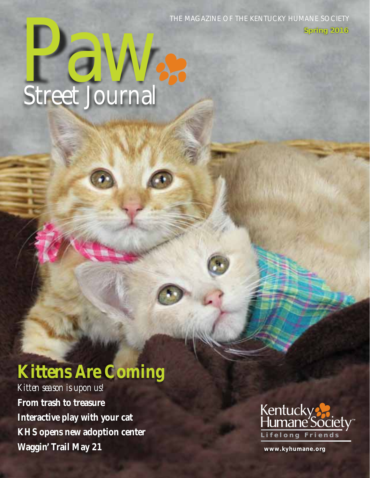The Magazine of the Kentucky Humane Society

**Spring 2016**

# **Paw**<br>Street Journal Street Journal

## **Kittens Are Coming**

*Kitten season is upon us!* **From trash to treasure Interactive play with your cat KHS opens new adoption center Waggin' Trail May 21**



**www.kyhumane.org**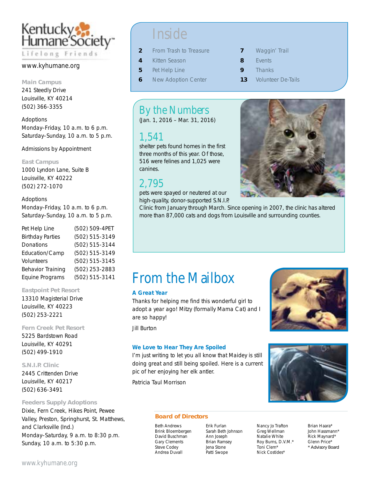

### www.kyhumane.org

### **Main Campus**

241 Steedly Drive Louisville, KY 40214 (502) 366-3355

Adoptions Monday–Friday, 10 a.m. to 6 p.m. Saturday–Sunday, 10 a.m. to 5 p.m.

Admissions by Appointment

### **East Campus**

1000 Lyndon Lane, Suite B Louisville, KY 40222 (502) 272-1070

### Adoptions

Monday–Friday, 10 a.m. to 6 p.m. Saturday–Sunday, 10 a.m. to 5 p.m.

Pet Help Line (502) 509-4PET Birthday Parties (502) 515-3149 Donations (502) 515-3144 Education/Camp (502) 515-3149 Volunteers (502) 515-3145 Behavior Training (502) 253-2883 Equine Programs (502) 515-3141

### **Eastpoint Pet Resort**

13310 Magisterial Drive Louisville, KY 40223 (502) 253-2221

### **Fern Creek Pet Resort**  5225 Bardstown Road Louisville, KY 40291

(502) 499-1910 **S.N.I.P. Clinic**

2445 Crittenden Drive Louisville, KY 40217 (502) 636-3491

### **Feeders Supply Adoptions**

Dixie, Fern Creek, Hikes Point, Pewee Valley, Preston, Springhurst, St. Matthews, and Clarksville (Ind.) Monday–Saturday, 9 a.m. to 8:30 p.m. Sunday, 10 a.m. to 5:30 p.m.

## **Inside**

- **2** From Trash to Treasure
- **4** Kitten Season
- **5** Pet Help Line
- **6** New Adoption Center
- **7** Waggin' Trail
- **8** Events
- **9** Thanks
- 13 Volunteer De-Tails

## By the Numbers

(Jan. 1, 2016 – Mar. 31, 2016)

## 1,541

shelter pets found homes in the first three months of this year. Of those, 516 were felines and 1,025 were

## 2,795

pets were spayed or neutered at our high-quality, donor-supported S.N.I.P.

Clinic from January through March. Since opening in 2007, the clinic has altered more than 87,000 cats and dogs from Louisville and surrounding counties.

## canines.

## From the Mailbox

### A Great Year

Thanks for helping me find this wonderful girl to adopt a year ago! Mitzy (formally Mama Cat) and I are so happy!

Jill Burton

### We Love to Hear They Are Spoiled

I'm just writing to let you all know that Maidey is still doing great and still being spoiled. Here is a current pic of her enjoying her elk antler.

Patricia Taul Morrison





### **Board of Directors**

Beth Andrews Brink Bloembergen David Buschman Gary Clements Steve Codey Andrea Duvall

Erik Furlan Sarah Beth Johnson Ann Joseph Brian Ramsey Jena Stone Patti Swope

Nancy Jo Trafton Greg Wellman Natalie White Roy Burns, D.V.M.\* Toni Clem\* Nick Costides\*

Brian Haara\* John Hassmann\* Rick Maynard\* Glenn Price\* *\* Advisory Board*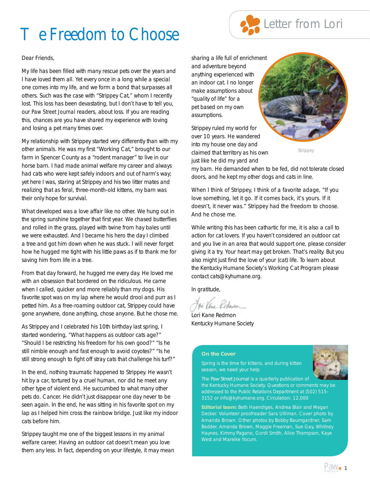## e Freedom to Choose



### Dear Friends,

My life has been filled with many rescue pets over the years and I have loved them all. Yet every once in a long while a special one comes into my life, and we form a bond that surpasses all others. Such was the case with "Strippey Cat," whom I recently lost. This loss has been devastating, but I don't have to tell you, our *Paw Street Journal* readers, about loss. If you are reading this, chances are you have shared my experience with loving and losing a pet many times over.

My relationship with Strippey started very differently than with my other animals. He was my first "Working Cat," brought to our farm in Spencer County as a "rodent manager" to live in our horse barn. I had made animal welfare my career and always had cats who were kept safely indoors and out of harm's way; yet here I was, staring at Strippey and his two litter mates and realizing that as feral, three-month-old kittens, my barn was their only hope for survival.

What developed was a love affair like no other. We hung out in the spring sunshine together that first year. We chased butterflies and rolled in the grass, played with twine from hay bales until we were exhausted. And I became his hero the day I climbed a tree and got him down when he was stuck. I will never forget how he hugged me tight with his little paws as if to thank me for saving him from life in a tree.

From that day forward, he hugged me every day. He loved me with an obsession that bordered on the ridiculous. He came when I called, quicker and more reliably than my dogs. His favorite spot was on my lap where he would drool and purr as I petted him. As a free-roaming outdoor cat, Strippey could have gone anywhere, done anything, chose anyone. But he chose me.

As Strippey and I celebrated his 10th birthday last spring, I started wondering, "What happens as outdoor cats age?" "Should I be restricting his freedom for his own good?" "Is he still nimble enough and fast enough to avoid coyotes?" "Is he still strong enough to fight off stray cats that challenge his turf?"

In the end, nothing traumatic happened to Strippey. He wasn't hit by a car, tortured by a cruel human, nor did he meet any other type of violent end. He succumbed to what many other pets do. Cancer. He didn't just disappear one day never to be seen again. In the end, he was sitting in his favorite spot on my lap as I helped him cross the rainbow bridge. Just like my indoor cats before him.

Strippey taught me one of the biggest lessons in my animal welfare career. Having an outdoor cat doesn't mean you love them any less. In fact, depending on your lifestyle, it may mean sharing a life full of enrichment and adventure beyond anything experienced with an indoor cat. I no longer make assumptions about "quality of life" for a pet based on my own assumptions.

Strippey ruled my world for over 10 years. He wandered into my house one day and claimed that territory as his own just like he did my yard and



*Strippey*

my barn. He demanded when to be fed, did not tolerate closed doors, and he kept my other dogs and cats in line.

When I think of Strippey, I think of a favorite adage, "If you love something, let it go. If it comes back, it's yours. If it doesn't, it never was." Strippey had the freedom to choose. And he chose me.

While writing this has been cathartic for me, it is also a call to action for cat lovers. If you haven't considered an outdoor cat and you live in an area that would support one, please consider giving it a try. Your heart may get broken. That's reality. But you also might just find the love of your (cat) life. To learn about the Kentucky Humane Society's Working Cat Program please contact cats@kyhumane.org.

In gratitude,

Lori Kane Redmon Kentucky Humane Society

#### **On the Cover**

Spring is the time for kittens, and during kitten season, we need your help.



The *Paw Street Journal* is a quarterly publication of the Kentucky Humane Society. Questions or comments may be addressed to the Public Relations Department at (502) 515- 3152 or info@kyhumane.org. Circulation: 12,000

**Editorial team:** Beth Haendiges, Andrea Blair and Megan Decker. Volunteer proofreader Sara Ulliman. Cover photo by Amanda Brown. Other photos by Bobby Baumgardner, Sam Badder, Amanda Brown, Maggie Freeman, Sue Gay, Whitney Haynes, Kimmy Pagano, Gordi Smith, Alice Thompson, Kaye West and Mareike Yocum.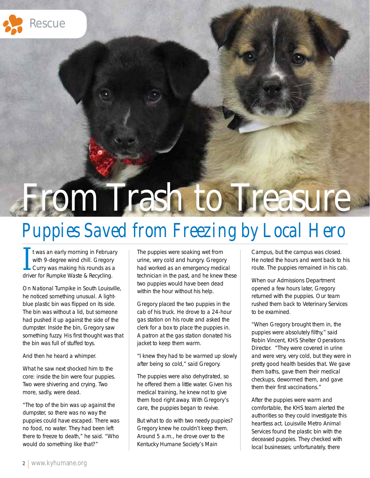

# From Trash to Treasure

## *Puppies Saved from Freezing by Local Hero*

It was an early morning in Februar<br>with 9-degree wind chill. Gregory<br>Curry was making his rounds as a<br>driver for Rumpke Waste & Recycling. **t was an early morning in February** with 9-degree wind chill. Gregory L Curry was making his rounds as a

On National Turnpike in South Louisville, he noticed something unusual. A lightblue plastic bin was flipped on its side. The bin was without a lid, but someone had pushed it up against the side of the dumpster. Inside the bin, Gregory saw something fuzzy. His first thought was that the bin was full of stuffed toys.

And then he heard a whimper.

What he saw next shocked him to the core: inside the bin were four puppies. Two were shivering and crying. Two more, sadly, were dead.

"The top of the bin was up against the dumpster, so there was no way the puppies could have escaped. There was no food, no water. They had been left there to freeze to death," he said. "Who would do something like that?"

The puppies were soaking wet from urine, very cold and hungry. Gregory had worked as an emergency medical technician in the past, and he knew these two puppies would have been dead within the hour without his help.

Gregory placed the two puppies in the cab of his truck. He drove to a 24-hour gas station on his route and asked the clerk for a box to place the puppies in. A patron at the gas station donated his jacket to keep them warm.

"I knew they had to be warmed up slowly after being so cold," said Gregory.

The puppies were also dehydrated, so he offered them a little water. Given his medical training, he knew not to give them food right away. With Gregory's care, the puppies began to revive.

But what to do with two needy puppies? Gregory knew he couldn't keep them. Around 5 a.m., he drove over to the Kentucky Humane Society's Main

Campus, but the campus was closed. He noted the hours and went back to his route. The puppies remained in his cab.

When our Admissions Department opened a few hours later, Gregory returned with the puppies. Our team rushed them back to Veterinary Services to be examined.

"When Gregory brought them in, the puppies were absolutely filthy," said Robin Vincent, KHS Shelter Operations Director. "They were covered in urine and were very, very cold, but they were in pretty good health besides that. We gave them baths, gave them their medical checkups, dewormed them, and gave them their first vaccinations."

After the puppies were warm and comfortable, the KHS team alerted the authorities so they could investigate this heartless act. Louisville Metro Animal Services found the plastic bin with the deceased puppies. They checked with local businesses; unfortunately, there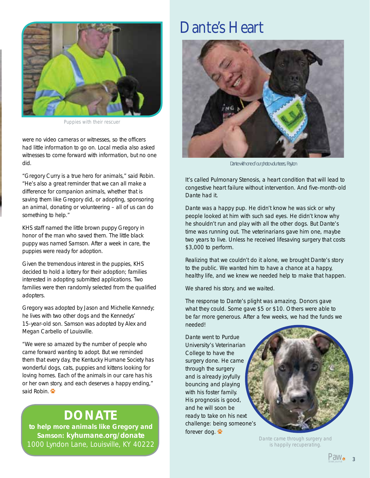

*Puppies with their rescuer*

were no video cameras or witnesses, so the officers had little information to go on. Local media also asked witnesses to come forward with information, but no one did.

"Gregory Curry is a true hero for animals," said Robin. "He's also a great reminder that we can all make a difference for companion animals, whether that is saving them like Gregory did, or adopting, sponsoring an animal, donating or volunteering – all of us can do something to help."

KHS staff named the little brown puppy Gregory in honor of the man who saved them. The little black puppy was named Samson. After a week in care, the puppies were ready for adoption.

Given the tremendous interest in the puppies, KHS decided to hold a lottery for their adoption; families interested in adopting submitted applications. Two families were then randomly selected from the qualified adopters.

Gregory was adopted by Jason and Michelle Kennedy; he lives with two other dogs and the Kennedys' 15-year-old son. Samson was adopted by Alex and Megan Carbello of Louisville.

"We were so amazed by the number of people who came forward wanting to adopt. But we reminded them that every day, the Kentucky Humane Society has wonderful dogs, cats, puppies and kittens looking for loving homes. Each of the animals in our care has his or her own story, and each deserves a happy ending," said Robin.

## **DONATE**

to help more animals like Gregory and Samson: kyhumane.org/donate 1000 Lyndon Lane, Louisville, KY 40222

## Dante's Heart



*Dante with one of our photo volunteers, Payton*

It's called Pulmonary Stenosis, a heart condition that will lead to congestive heart failure without intervention. And five-month-old Dante had it.

Dante was a happy pup. He didn't know he was sick or why people looked at him with such sad eyes. He didn't know why he shouldn't run and play with all the other dogs. But Dante's time was running out. The veterinarians gave him one, maybe two years to live. Unless he received lifesaving surgery that costs \$3,000 to perform.

Realizing that we couldn't do it alone, we brought Dante's story to the public. We wanted him to have a chance at a happy, healthy life, and we knew we needed help to make that happen.

We shared his story, and we waited.

The response to Dante's plight was amazing. Donors gave what they could. Some gave \$5 or \$10. Others were able to be far more generous. After a few weeks, we had the funds we needed!

Dante went to Purdue University's Veterinarian College to have the surgery done. He came through the surgery and is already joyfully bouncing and playing with his foster family. His prognosis is good, and he will soon be ready to take on his next challenge: being someone's forever dog.



*Dante came through surgery and is happily recuperating.*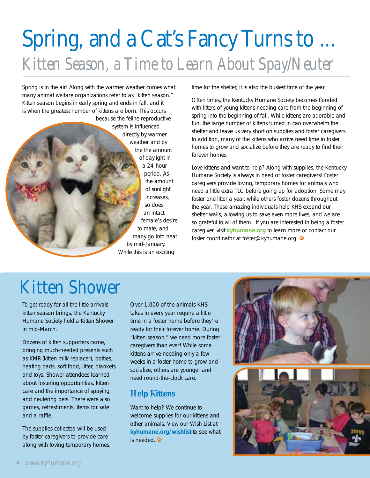## Spring, and a Cat's Fancy Turns to ... *Kitten Season, a Time to Learn About Spay/Neuter*

Spring is in the air! Along with the warmer weather comes what many animal welfare organizations refer to as "kitten season." Kitten season begins in early spring and ends in fall, and it is when the greatest number of kittens are born. This occurs

because the feline reproductive system is influenced directly by warmer weather and by the the amount of daylight in a 24-hour period. As the amount of sunlight increases, so does an intact female's desire to mate, and many go into heat by mid-January. While this is an exciting

time for the shelter, it is also the busiest time of the year.

Often times, the Kentucky Humane Society becomes flooded with litters of young kittens needing care from the beginning of spring into the beginning of fall. While kittens are adorable and fun, the large number of kittens turned in can overwhelm the shelter and leave us very short on supplies and foster caregivers. In addition, many of the kittens who arrive need time in foster homes to grow and socialize before they are ready to find their forever homes.

Love kittens and want to help? Along with supplies, the Kentucky Humane Society is always in need of foster caregivers! Foster caregivers provide loving, temporary homes for animals who need a little extra TLC before going up for adoption. Some may foster one litter a year, while others foster dozens throughout the year. These amazing individuals help KHS expand our shelter walls, allowing us to save even more lives, and we are so grateful to all of them. If you are interested in being a foster caregiver, visit kyhumane.org to learn more or contact our foster coordinator at foster@kyhumane.org.

## Kitten Shower

To get ready for all the little arrivals kitten season brings, the Kentucky Humane Society held a Kitten Shower in mid-March.

Dozens of kitten supporters came, bringing much-needed presents such as KMR (kitten milk replacer), bottles, heating pads, soft food, litter, blankets and toys. Shower attendees learned about fostering opportunities, kitten care and the importance of spaying and neutering pets. There were also games, refreshments, items for sale and a raffle.

The supplies collected will be used by foster caregivers to provide care along with loving temporary homes.

Over 1,000 of the animals KHS takes in every year require a little time in a foster home before they're ready for their forever home. During "kitten season," we need more foster caregivers than ever! While some kittens arrive needing only a few weeks in a foster home to grow and socialize, others are younger and need round-the-clock care.

## **Help Kittens**

Want to help? We continue to welcome supplies for our kittens and other animals. View our Wish List at kyhumane.org/wishlist to see what is needed.  $\ddot{\bullet}$ 

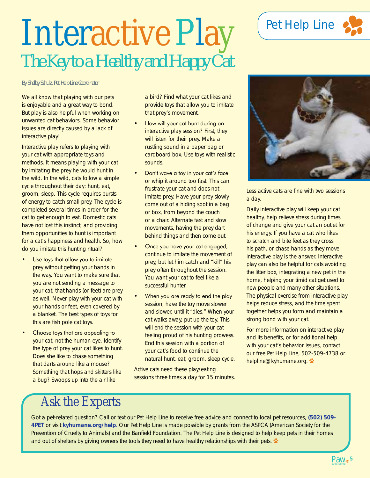## Interactive Play *The Key to a Healthy and Happy Cat*

### *By Shelby Schulz, Pet Help Line Coordinator*

We all know that playing with our pets is enjoyable and a great way to bond. But play is also helpful when working on unwanted cat behaviors. Some behavior issues are directly caused by a lack of interactive play!

Interactive play refers to playing with your cat with appropriate toys and methods. It means playing with your cat by imitating the prey he would hunt in the wild. In the wild, cats follow a simple cycle throughout their day: hunt, eat, groom, sleep. This cycle requires bursts of energy to catch small prey. The cycle is completed several times in order for the cat to get enough to eat. Domestic cats have not lost this instinct, and providing them opportunities to hunt is important for a cat's happiness and health. So, how do you imitate this hunting ritual?

- Use toys that allow you to imitate prey without getting your hands in the way. You want to make sure that you are not sending a message to your cat, that hands (or feet) are prey as well. Never play with your cat with your hands or feet, even covered by a blanket. The best types of toys for this are fish pole cat toys.
- Choose toys that are appealing to your cat, not the human eye. Identify the type of prey your cat likes to hunt. Does she like to chase something that darts around like a mouse? Something that hops and skitters like a bug? Swoops up into the air like

a bird? Find what your cat likes and provide toys that allow you to imitate that prey's movement.

- How will your cat hunt during an interactive play session? First, they will listen for their prey. Make a rustling sound in a paper bag or cardboard box. Use toys with realistic sounds.
- Don't wave a toy in your cat's face or whip it around too fast. This can frustrate your cat and does not imitate prey. Have your prey slowly come out of a hiding spot in a bag or box, from beyond the couch or a chair. Alternate fast and slow movements, having the prey dart behind things and then come out.
- Once you have your cat engaged, continue to imitate the movement of prey, but let him catch and "kill" his prey often throughout the session. You want your cat to feel like a successful hunter.
- When you are ready to end the play session, have the toy move slower and slower, until it "dies." When your cat walks away, put up the toy. This will end the session with your cat feeling proud of his hunting prowess. End this session with a portion of your cat's food to continue the natural hunt, eat, groom, sleep cycle.

Active cats need these play/eating sessions three times a day for 15 minutes.

## Pet Help Line





Less active cats are fine with two sessions a day.

Daily interactive play will keep your cat healthy, help relieve stress during times of change and give your cat an outlet for his energy. If you have a cat who likes to scratch and bite feet as they cross his path, or chase hands as they move, interactive play is the answer. Interactive play can also be helpful for cats avoiding the litter box, integrating a new pet in the home, helping your timid cat get used to new people and many other situations. The physical exercise from interactive play helps reduce stress, and the time spent together helps you form and maintain a strong bond with your cat.

For more information on interactive play and its benefits, or for additional help with your cat's behavior issues, contact our free Pet Help Line, 502-509-4738 or helpline@kyhumane.org.

## Ask the Experts

Got a pet-related question? Call or text our Pet Help Line to receive free advice and connect to local pet resources, (502) 509- 4PET or visit kyhumane.org/help. Our Pet Help Line is made possible by grants from the ASPCA (American Society for the Prevention of Cruelty to Animals) and the Banfield Foundation. The Pet Help Line is designed to help keep pets in their homes and out of shelters by giving owners the tools they need to have healthy relationships with their pets.

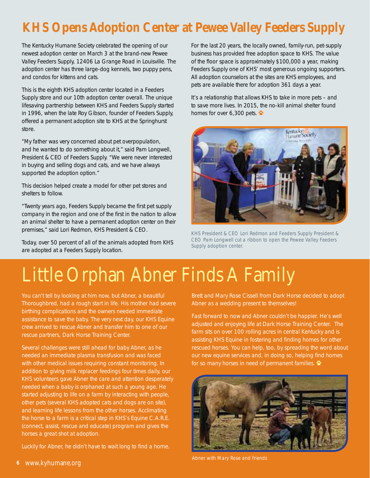## **KHS Opens Adoption Center at Pewee Valley Feeders Supply**

The Kentucky Humane Society celebrated the opening of our newest adoption center on March 3 at the brand-new Pewee Valley Feeders Supply, 12406 La Grange Road in Louisville. The adoption center has three large-dog kennels, two puppy pens, and condos for kittens and cats.

This is the eighth KHS adoption center located in a Feeders Supply store and our 10th adoption center overall. The unique lifesaving partnership between KHS and Feeders Supply started in 1996, when the late Roy Gibson, founder of Feeders Supply, offered a permanent adoption site to KHS at the Springhurst store.

"My father was very concerned about pet overpopulation, and he wanted to do something about it," said Pam Longwell, President & CEO of Feeders Supply. "We were never interested in buying and selling dogs and cats, and we have always supported the adoption option."

This decision helped create a model for other pet stores and shelters to follow.

"Twenty years ago, Feeders Supply became the first pet supply company in the region and one of the first in the nation to allow an animal shelter to have a permanent adoption center on their premises," said Lori Redmon, KHS President & CEO.

Today, over 50 percent of all of the animals adopted from KHS are adopted at a Feeders Supply location.

For the last 20 years, the locally owned, family-run, pet-supply business has provided free adoption space to KHS. The value of the floor space is approximately \$100,000 a year, making Feeders Supply one of KHS' most generous ongoing supporters. All adoption counselors at the sites are KHS employees, and pets are available there for adoption 361 days a year.

It's a relationship that allows KHS to take in more pets – and to save more lives. In 2015, the no-kill animal shelter found homes for over 6,300 pets.  $\ddot{\bullet}$ 



*KHS President & CEO Lori Redmon and Feeders Supply President & CEO Pam Longwell cut a ribbon to open the Pewee Valley Feeders Supply adoption center.*

## Little Orphan Abner Finds A Family

You can't tell by looking at him now, but Abner, a beautiful Thoroughbred, had a rough start in life. His mother had severe birthing complications and the owners needed immediate assistance to save the baby. The very next day, our KHS Equine crew arrived to rescue Abner and transfer him to one of our rescue partners, Dark Horse Training Center.

Several challenges were still ahead for baby Abner, as he needed an immediate plasma transfusion and was faced with other medical issues requiring constant monitoring. In addition to giving milk replacer feedings four times daily, our KHS volunteers gave Abner the care and attention desperately needed when a baby is orphaned at such a young age. He started adjusting to life on a farm by interacting with people, other pets (several KHS adopted cats and dogs are on site), and learning life lessons from the other horses. Acclimating the horse to a farm is a critical step in KHS's Equine C.A.R.E. (connect, assist, rescue and educate) program and gives the horses a great shot at adoption.

Luckily for Abner, he didn't have to wait long to find a home.

Brett and Mary Rose Cissell from Dark Horse decided to adopt Abner as a wedding present to themselves!

Fast forward to now and Abner couldn't be happier. He's well adjusted and enjoying life at Dark Horse Training Center. The farm sits on over 100 rolling acres in central Kentucky and is assisting KHS Equine in fostering and finding homes for other rescued horses. You can help, too, by spreading the word about our new equine services and, in doing so, helping find homes for so many horses in need of permanent families.

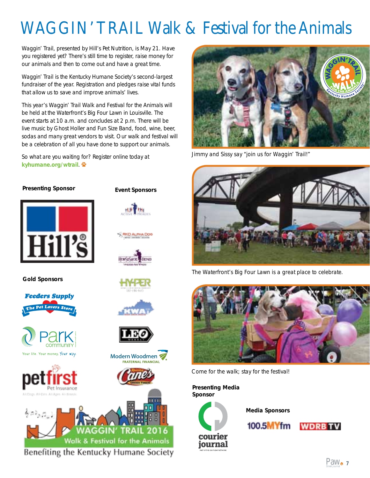## WAGGIN' TRAIL Walk & Festival for the Animals

Waggin' Trail, presented by Hill's Pet Nutrition, is May 21. Have you registered yet? There's still time to register, raise money for our animals and then to come out and have a great time.

Waggin' Trail is the Kentucky Humane Society's second-largest fundraiser of the year. Registration and pledges raise vital funds that allow us to save and improve animals' lives.

This year's Waggin' Trail Walk and Festival for the Animals will be held at the Waterfront's Big Four Lawn in Louisville. The event starts at 10 a.m. and concludes at 2 p.m. There will be live music by Ghost Holler and Fun Size Band, food, wine, beer, sodas and many great vendors to visit. Our walk and festival will be a celebration of all you have done to support our animals.

Event Sponsors

**CD ALIPHA DOG** 

Modern Woodmen **RATERNAL FINANCIAL** 

**anum** 

So what are you waiting for? Register online today at kyhumane.org/wtrail.

### Presenting Sponsor



Gold Sponsors









Benefiting the Kentucky Humane Society



Jimmy and Sissy say "join us for Waggin' Trail!"



The Waterfront's Big Four Lawn is a great place to celebrate.



Come for the walk; stay for the festival!

Presenting Media Sponsor



Media Sponsors

100.5MYfm

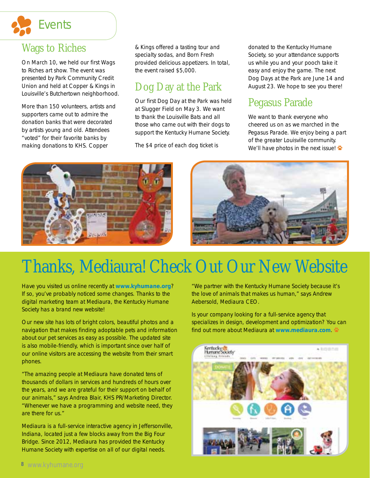

## Wags to Riches

On March 10, we held our first Wags to Riches art show. The event was presented by Park Community Credit Union and held at Copper & Kings in Louisville's Butchertown neighborhood.

More than 150 volunteers, artists and supporters came out to admire the donation banks that were decorated by artists young and old. Attendees "voted" for their favorite banks by making donations to KHS. Copper

& Kings offered a tasting tour and specialty sodas, and Born Fresh provided delicious appetizers. In total, the event raised \$5,000.

## Dog Day at the Park

Our first Dog Day at the Park was held at Slugger Field on May 3. We want to thank the Louisville Bats and all those who came out with their dogs to support the Kentucky Humane Society.

The \$4 price of each dog ticket is

donated to the Kentucky Humane Society, so your attendance supports us while you and your pooch take it easy and enjoy the game. The next Dog Days at the Park are June 14 and August 23. We hope to see you there!

## Pegasus Parade

We want to thank everyone who cheered us on as we marched in the Pegasus Parade. We enjoy being a part of the greater Louisville community. We'll have photos in the next issue!  $\ddot{\bullet}$ 



## Thanks, Mediaura! Check Out Our New Website

Have you visited us online recently at www.kyhumane.org? If so, you've probably noticed some changes. Thanks to the digital marketing team at Mediaura, the Kentucky Humane Society has a brand new website!

Our new site has lots of bright colors, beautiful photos and a navigation that makes finding adoptable pets and information about our pet services as easy as possible. The updated site is also mobile-friendly, which is important since over half of our online visitors are accessing the website from their smart phones.

"The amazing people at Mediaura have donated tens of thousands of dollars in services and hundreds of hours over the years, and we are grateful for their support on behalf of our animals," says Andrea Blair, KHS PR/Marketing Director. "Whenever we have a programming and website need, they are there for us."

Mediaura is a full-service interactive agency in Jeffersonville, Indiana, located just a few blocks away from the Big Four Bridge. Since 2012, Mediaura has provided the Kentucky Humane Society with expertise on all of our digital needs.

"We partner with the Kentucky Humane Society because it's the love of animals that makes us human," says Andrew Aebersold, Mediaura CEO.

Is your company looking for a full-service agency that specializes in design, development and optimization? You can find out more about Mediaura at www.mediaura.com

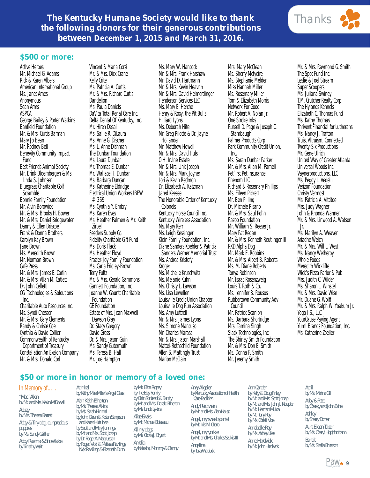## **The Kentucky Humane Society would like to thank and Thanks** *the following donors for their generous contributions between December 1, 2015 and March 31, 2016.*



### *\$500 or more:*

Active Heroes Mr. Michael G. Adams Rick & Karen Albers American International Group Ms. Janet Ames **Anonymous** Sean Arms ASPCA George Bailey & Porter Watkins Banfield Foundation Mr. & Mrs. Curtis Barman Mary Jo Bean Mr. Rodney Bell Benevity Community Impact Fund Best Friends Animal Society Mr. Brink Bloembergen & Ms. Linda S. Johnsen Bluegrass Charitable Golf **Scramble** Bonnie Family Foundation Mr. Alvin Borowick Mr. & Mrs. Brooks H. Bower Mr. & Mrs. Daniel Bridgewater Danny & Ellen Briscoe Frank & Donna Brothers Carolyn Kay Brown Jane Brown Ms. Meredith Brown Mr. Norman Brown Cafe Press Mr. & Mrs. James E. Carlin Mr. & Mrs. Allan M. Catlett Dr. John Celletti CGI Technologies & Soloutions Inc. Charitable Auto Resources Inc. Ms. Syndi Chesser Mr. & Mrs. Gary Clements Randy & Christe Coe Cynthia & David Collier Commonwealth of Kentucky Department of Treasury Constellation An Exelon Company Mr. & Mrs. Donald Corl

Vincent & Maria Corsi Mr. & Mrs. Dick Crane Kelly Crite Ms. Patricia A. Curtis Mr. & Mrs. Richard Curtis **Dandelion** Ms. Paula Daniels DaVita Total Renal Care Inc. Delta Dental Of Kentucky, Inc. Mr. Hiren Desai Ms. Sallie R. DiLaura Ms. Anne G. Discher Ms. L. Anne Dishman The Dunbar Foundation Ms. Laura Dunbar Mr. Thomas E. Dunbar Mr. Wallace H. Dunbar Ms. Barbara Duncan Ms. Katherine Eldridge Electrical Union Workers IBEW #369 Ms. Cynthia Y. Embry Ms. Karen Eves Ms. Heather Falmen & Mr. Keith Zirbel Feeders Supply Co. Fidelity Charitable Gift Fund Ms. Doris Flack Ms. Heather Floyd Frazier-Joy Family Foundation Ms. Carla Fridley-Brown Terry Fultz Mr. & Mrs. Gerald Gammons Gannett Foundation, Inc Joanne W. Gauntt Charitable Foundation GE Foundation Estate of Mrs. Jean Maxwell Dawson Gray Dr. Stacy Gregory David Gross Dr. & Mrs. Jason Guin Ms. Sandy Gutermuth Ms. Teresa B. Hall Mr. Joe Hampton

Ms. Mary W. Hancock Mr. & Mrs. Frank Harshaw Mr. David D. Hartmann Mr. & Mrs. Kevin Heavrin Mr. & Mrs. David Heimerdinger Henderson Services LLC Ms. Mary E. Herche Henry & Roxy, the Pit Bulls Hilliard Lyons Ms. Deborah Hite Mr. Greg Pilotte & Dr. Jayne **Hollander** Mr. Matthew Howell Mr. & Mrs. David Huls O.H. Irvine Estate Mr. & Mrs. Link Joseph Mr. & Mrs. Mark Joyner Lori & Kevin Redmon Dr. Elizabeth A. Katzman Jared Keesee The Honorable Order of Kentucky Colonels Kentucky Horse Council Inc. Kentucky Wireless Association Ms. Mary Kerr Ms. Leigh Kessinger Klein Family Foundation, Inc. Diane Sanders Koehler & Patricia Sanders Werner Memorial Trust Ms. Andrea Kristofy Kroger Ms. Michelle Kruschwitz Ms. Melanie Kuhn Ms. Christy L. Lawson Ms. Lisa Lewellen Louisville Credit Union Chapter Louisville Dog Run Association Ms. Amy Luttrell Mr. & Mrs. James Lyons Ms. Simone Mancuso Mr. Charles Marasa Mr. & Mrs. Jason Marshall Mattei-Rothschild Foundation Allen S. Mattingly Trust Marion McClain

Mrs. Mary McClean Ms. Sherry Mctyeire Ms. Stephanie Melder Miss Hannah Miller Ms. Rosemary Miller Tom & Elizabeth Morris Network For Good Mr. Robert A. Nolan Jr. One Stroke Inks Russell D. Page & Joseph C. Stambaugh Palmer Products Corp Park Community Credit Union, Inc. Ms. Sarah Dunbar Parker Mr. & Mrs. Allan M. Parnell PetFirst Pet Insurance Phenom LLC Richard & Rosemary Phillips Ms. Eileen Pickett Mr. Ben Pilling Dr. Michele Pisano Mr. & Mrs. Saul Pohn Razoo Foundation Mr. William S. Reeser Jr. Mary Pat Regan Mr. & Mrs. Kenneth Reutlinger III RKD Alpha Dog Mr. Mark E. Robbins Mr. & Mrs. Albert B. Roberts Ms. M. Diane Roberts Tonya Robinson Mr. Isaac Rosenzweig Louis T. Roth & Co. Ms. Jennifer B. Rousos Rubbertown Community Adv Council Mr. Patrick Scanlon Ms. Barbara Shortridge Mrs. Tamina Singh Slack Technologies, Inc. The Shirley Smith Foundation Mr. & Mrs. Don E. Smith Ms. Donna F. Smith Mr. Jeremy Smith

Mr. & Mrs. Raymond G. Smith The Spot Fund Inc. Leslie & Joel Stream Super Scoopers Ms. Juliana Swiney T.M. Crutcher Realty Corp The Hylands Kennels Elizabeth C. Thomas Fund Ms. Kathy Thomas Thrivent Financial for Lutherans Ms. Nancy J. Trafton Truist Altruism, Connected Twenty-Six Productions Mr. Gene Ulrich United Way of Greater Atlanta Universal Woods Inc. Vaynerproductions, LLC Ms. Peggy L. Vedelli Verizon Foundation Christy Vermost Ms. Patricia A. Vittitoe Mrs. Judy Wagner John & Rhonda Wanner Mr. & Mrs. Linwood A. Watson Jr. Ms. Marilyn A. Weaver Ariadne Welch Mr. & Mrs. Will L. West Ms. Nancy Wetherby Whole Foods Meredith Wickliffe Wick's Pizza Parlor & Pub Mrs. Judith C. Wilder Ms. Sharon L. Winstel Mr. & Mrs. David Wise Mr. Duane G. Wolff Mr. & Mrs. Ralph W. Yoakum Jr. Yoga I.S., LLC YourCause Paying Agent Yum! Brands Foundation, Inc. Ms. Catherine Zoeller

### *\$50 or more in honor or memory of a loved one:*

### In Memory of….

*"Mac" Allen by Mr. and Mrs. Kevin McDowell Abbey by Mrs. Theresa Barrett Abby & Tiny dog, our precious puppies by Ms. Sandy Gaither Abby Raenna & Snowflake by Timothy Wait*

*Admiral by Kathy Mae Miller's Angel Class Alan Keith Etherton by Ms. Theresa Atkins by Ms. Sarah Himmel by John, Devin & Kristin Sampson and Karen Hurtubise by Scott and Mary Jennings by Mr. and Mrs. Scott Jonap by Dr. Roger A. Magnusson by Roger, Vicki & Melissa Rawlings, Nick Rawlings & Elizabeth Dunn*

*by Ms. Erica Rigney by The Elzy Family by Orrin Fontenot & Family by Mr. and Mrs. Donald Etherton by Ms. Linda Lykins Alice Ewals by Mr. Michael Boisseau All my dogs by Ms. Gloria J. Bryant Amelia by Natasha, Mommy & Granny*

*Amy Allgeier by Kentucky Association of Health Care Facilities Andy Reichwein by Mr. and Mrs. Alan Hauss Angel, my sweet spaniel by Ms. Iris M. Otero Angel, my yorkie by Mr. and Mrs. Charles Szukis III Angelina by Tara Wurdock*

*Ann Carden by Kelly & Doug Finlay by Mr. and Mrs. Scott Jonap by Mr. and Mrs. John J. Kloepfer by Mr. Herman Mujica by Mr. Tony Ray by Ms. Christi Vice Annabelle Ray by Ms. Ashley Liles Anne Hardwick by Mr. John Hardwick*

*April by Ms. Marina Gill Arby & Pete by Cheeky and John Bahe Ashley by Sherry Dorner Aunt Eileen Tabor by Ms. Cheryl Higginbotham Bandit by Ms. Sheila Emerson*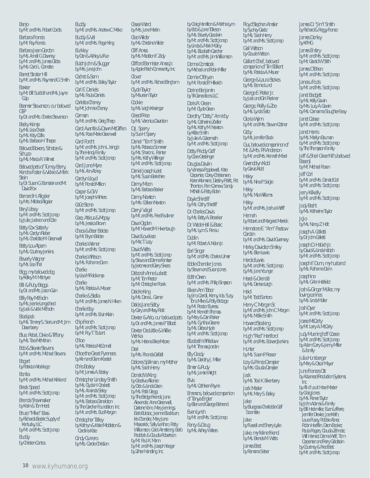#### *Banjo*

*by Mr. and Mrs. Robert Cordts*

*Barbara Francis by Mr. Ray Francis*

*Barbara Jean Gordon by Ms. Annell G. Downey by Mr. and Mrs. James Gibbs by Ms. Carol L. Cornette*

*Barret Strater Hill by Mr. and Mrs. Raymond G. Smith*

*Baxter by Mr. Bill Sudduth and Ms. Jayne Culp*

*Beamer Stevenson, our beloved GSP by Dr. and Mrs. Charles Stevenson*

*Becky Kemp by Ms. Lisa Cheek by Ms. Katy Collis by Ms. Barbara H. Tharpe*

*Beloved Boxers, Schatze & Schupo*

*by Ms. Marcia R. Wilmet*

*Beloved pets of Turney Berry, Kendra Foster & Vickie & Mark Stein by Dr. Susan G. Bornstein and Mr.* 

*David Fox*

*Bernard H. Allgeier by Mrs. Mildred Allgeier*

*Beryl Litsey by Mr. and Mrs. Scott Jonap by Julie, Jackson and Cole*

*Betty Cox Satterly by Ms. Carolyn Rieber by Ms. Charlotte M. Greenwell*

*Betty Lou Alpern by Ms. Courtney Jenkins*

*Beverly Wagner by Ms. Lisa Thal*

*Bigg, my beloved dog by Kelley M. McIntyre*

*Bill & Ruby Beggs by Dr. and Mrs. Jason Guin*

*Billy Ray McFadin by Ms. Jeanie Langschied by Jack & Vicki McFadin*

*Blackjack by Ms. Tammy S. Siers and Mr. Jim Dusenberry*

*Blue, Rebel, Dixie & Tiffany by Ms. Tara McMahan*

*Bob & Stewie Stevens by Mr. and Mrs. Michael Stevens*

*Bogart by Patricia Wrocklage*

*Bonita by Mr. and Mrs. Michael Kirkland*

*Breck Speed by Mr. and Mrs. Scott Jonap Brenda Shewmaker*

*by Karin & Tom Horst*

*Bruce "Mike" Bass by Richards Electric Supply of Kentucky, LLC by Mr. and Mrs. Scott Jonap*

**10** www.kyhumane.org

*Buddy by Christen Cantos* *Buddy by Mr. and Mrs. Andrew C. Meko Buddy & Val by Mr. and Mrs. Roger King Burkley by Don & Ashley LaRue Butch John & Slugger by Mrs. Jana John Cachet & Sam by Mr. and Mrs. Bailey Taylor Carl E. Daniels by Ms. Paula Daniels Carletta Chaney by Mr. Johnnie Chaney Carman by Mr. and Mrs. Greig Tharp Carol Avanitis & Dawn McGiffen by Ms. Rose Marie Greenwell Carol Forcht by Mr. and Mrs. John L. Ising Jr. by The Handy Family by Mr. and Mrs. Scott Jonap Carol Jane Myre by Ms. Ann Abney Carolyn Lloyd by Mr. Ronald Million Casper & GW by Mr. Joseph Winters CeCe Stone by Mr. and Mrs. Scott Jonap Cece, Atticus & Mopsy by Ms. Jessica Brown Chaos & Bear Belote by Mr. Bryan Belote Charles Warner by Mr. and Mrs. Scott Jonap Charles Whitson by Ms. Ruthanne Dunn Charlie by Lisa M Feldkamp Charlie by Ms. Patricia A. Meurer Charlie & Stella by Mr. and Mrs. James N. Hiken Charlie Boy by Mr. and Mrs. Ervin Klein Chip French by Mr. and Mrs. Scott Jonap by Mr. Roy T. Toutant Chloe by Ms. Patricia McConnell Chloe the Great Pyrenees by Kim and Glenn Koestel Chris Bosley by Mr. James A. Bosley Christopher Lindsey Smith by Ms. Clyda H. Crockett by Ms. Amanda Sisley by Mr. and Mrs. Scott Jonap by Ms. Barbara Donaldson by The Gardner Foundation, Inc. by Mr. and Mrs. Bud Morgan Christopher Talley by Kathryn & Katie Middleton & Carolina Kate Cindy Gurrero by Mrs. Carole Christian*

*Cissee Ward by Mrs. Jane Martin Cleo Wilder by Ms. Christine Wilder Cliff Amos by Ms. Madelon F. Zady Clifford Bannister Amos Jr. by Apple Patch Community, Inc. Clover by Mr. and Mrs. Richard Bingham Clyde Taylor by Maureen Taylor Cookie by Ms. Leigh Kessinger Creed Price by Ms. Veronica Davidson D.J. Sperry by Sue H. Sperry Daniel "Tom" Smith by Ms. Rebecca Sommer by Ms. Sharon L. Painter by Mrs. Kathy Willinger by Mr. and Mrs. Scott Jonap Daniel Joseph Leist by Ms. Susan Berkshire Danny Moon by Ms. Barbara Becker Danny Newton by Mrs. Colleen Newton Darryl Veigel by Mr. and Mrs. Fred Faulkner Dave Ogden by Mr. Howard M. Hixenbaugh David Lovelace by Mac T. Lacy David Walts by Mr. and Mrs. Scott Jonap by Steve and Donna Kamber by Jerome and Gerry Skees Deborah Anne Luckett by Mr. Tom Rector by Mr. Christopher Roark Deidre King by Ms. Dana L. Garner Delois Jane Selby by Gary and Missy Platt Dexter & Arlo, our beloved pets by Dr. and Mrs. James P. Talbott Dexter DooLittle & Willie Wonka by Ms. Helena Brice-Moore Dezi by Mrs. Rhonda DeBell Dolores Spillman, my Mother by Ms. Sarah Henry Donald W. King by Creative Alliance by Dick & Linda Dean by Ms. Patti Gregg by The Bridge Firends; Jane Alexander, Anne Greenwell, Darlene Yann, Mary Jennings, Barb Bulotac, Jeanne Blackburn, Iris Chandler, Mary Jane Masearick, Sally Lenihan, Patty Williamson, Carol Armstrong, Barb Paddock & Claudia Robertson by Mr. Paul K. Mann by Mr. and Mrs. Joseph Yeager by Zinter Handling, Inc.*

*by Craig Hamilton & Martha Lynn by Bob & Jane Tolleson by Ms. Beverly Goodwin by Mr. and Mrs. Scott Jonap by Linda & Mark Mulloy by Ms. Elizabeth Gardner by Mr. and Mrs. Jim Williamson Donna Comstock by Michael and Robin Miller Donnie O'Bryan by Mr. Ronald P. Hillerich Dorine Benjamin by Tri-Generations LLC Doris R. Green by Mr. Clyde Green Dorothy "Dotty" Ann Irby by Ms. Catherine Zoeller by Ms. Kathy M. Newton by Kittie Smith by Julie A. Gutermuth by Mr. and Mrs. Scott Jonap Dotty Priddy Goff by Clare Oestringer Douglas Devlin by Vanessa Popplewell, Kate Carpenter, Corey Christensen, Karen Klemenz, Destiny Petitt, Pat Thornton, Pam Carnew, Sandy McNeil & Patty Eiden by Ms. Lynda Seitz*

*Doyle Shircliff by Ms. Cathy Shircliff Dr. Charles Davis by Ms. Betty A. Broecker Dr. Wade Hall & Basic*

*by Ms. Lynn S. Renau Dublin*

*by Mr. Robert A. Nolan Jr.*

*Earl Singer by Mr. and Mrs. Charles Ulmer Eddie Chandler Jones*

*by Steven and Susan Jones Edith Owen*

*by Mr. and Mrs. Philip Simpson Eileen Ann Tabor by Jim, Carroll, Kenny, Ida, Suzy,* 

*Tom, Mike & Polly Brotzge by Mr. Proctor Burress by Mr. Kenneth Thomas by Mary & Dan Parker by Ms. Cynthia Greene by Ms. Debra Hyde by Mr. and Mrs. Scott Jonap*

*Elizabeth Whitelaw by Mr. Thomas Jordan*

*Elly Grady by Ms. Dorothy J. Miller*

*Elmer & Rudy by Ms. Jamie Wright*

*Elvis by Ms. Cathleen Payne Emmons, beloved companion of Tanya Engler by Ellen and George Behrend Evan Lynch*

*by Mr. and Mrs. Scott Jonap Fancy & Doug by Ms. Ashley Waters*

*Floyd Stephen Amsler by Sydney Goetz by Ms. Sarah Henry by Mr. and Mrs. Scott Jonap*

*Gail Watson by Claude Watson*

*Gallant Chief, beloved companion of Tim Tallent by Ms. Patricia A. Meurer George & Laura Stokes*

*by Ms. Bonnie Lund George E. Reiter Jr.*

*by Jack and Gini Reckner George, Reilly & Zoe*

*Gloria Wynn by Mr. and Mrs. Steven Cottner*

*Goby by Ms. Jennifer Black Gus, beloved companinon of Mr. & Mrs. PR Anderson*

*by Mr. and Mrs. Kenneth Morel Gwendolyn Kidd by Garvis Kidd*

*Haley by Ms. Nina P. Seigle*

*Haley by Ms. Mia Williams*

*Haley by Mr. and Mrs. Joshua Wolff*

*Hannah by Robert and Margaret Merrick*

*Hannelore E. "Ann" Paetow Carden*

*by Mr. and Mrs. David Guernsey*

*Harley Davidson Smiley by Ms. Ellen Lewis*

*Harold Lewis by Mr. and Mrs. Scott Jonap by Ms. Jane Younger*

*Hazel & Grendel by Ms. Denise Leigh Heidi*

*by Mr. Todd Santoro*

*Henry C. Morgan Sr. by Mr. and Mrs. John C. Morgan by Ms. Mollie Smith*

*Howard Stocking by Mr. and Mrs. Scott Jonap*

*Hugh "Red" Hartford by Mr. and Mrs. Edward Jenkins*

*Hunter by Ms. Susan P. Reasor Izzy & Prince Dampier by Mrs. Claudia Dampier*

*Jack by Ms. Traci K. Eikenberry*

*Jack Masler by Ms. Mary S. Bailey*

*Jake by Bluegrass Charitable Golf* 

*Scramble Jake by Russell and Sherry Lytle*

*Jake, my feline friend by Ms. Brenda M. Watts*

*James Best by Ramona Setser* *James D. "Jim" Smith by Richard & Peggy France*

*James Donley by KPMG*

*James Embry by Mr. and Mrs. Scott Jonap by Mr. Gerald W. Stith James O'Brien*

*by Mr. and Mrs. Scott Jonap*

*Janeau Fouts by Mr. and Mrs. Scott Jonap*

*Janet Badgett by Ms. Kelly Gowin by Mrs. Lucy A. Gowin by Ms. Carmanna Slaughter-Seay*

*Janet Caisse by Mr. and Mrs. Scott Jonap*

*Janet Harris by Ms. Marilyn Bauman by Mr. and Mrs. Scott Jonap by The Thompson Family*

*Jeff & Sheri Greenhill's beloved Basenji*

*by Mr. Michael Rosen Jeff Corl*

*by Mr. and Mrs. Donald Corl by Mr. and Mrs. Scott Jonap*

*Jerry Kilkelly by Mr. and Mrs. Scott Jonap*

*Jody Becht by Ms. Katherine Taylor*

*JoJo by Ms. Nancy Z. Holt Joseph A. Celletti*

*by Dr. John Celletti Joseph D. Habich Jr.*

*by David & Linda Habich by Mr. and Mrs. Scott Jonap*

*Joseph F. Dunn, my husband by Ms. Ruthanne Dunn*

*Josephine by Ms. G-Ann Hatfield*

*Josh & Ginger Muller, my loving canines*

*by Ms. Linda Muller Josh Dyer*

*by Mr. and Mrs. Scott Jonap Jozee McCarty*

*by Mr. Larry A. McCarty*

*Judy Mueninghoff Cozee by Mr. and Mrs. Scott Jonap by Adam Curry & Jenny Miller & family*

*Julia Hunsberger by Mary & Oscar Mayer*

*June Frances Ott by Advanced Production Systems, Inc.*

*by All of us at Hose Master*

*by Craig Jones by Ms. Renee Taylor*

*by John Adams & Family by Bill Hackmiller, Evan Lafferre, Jennifer Drexler, Joe Keith,* 

*Laura Pusey, Robbie Abner, Robin Hoefflin, Deon Booker, Paula Rogers, Claudia Zehnder, Will Harned, Donna Wolf, Tom Carpenter and Perry Goldstein by Courtney & Fred Best by Mr. and Mrs. Scott Jonap*

**10** www.kyhumane.org Paw **11** Street Paw **11** Street Paw **11** Street Paw **11** Street Paw **11** Street Paw **11** Street Paw **11** Street Paw **11** Street Paw 11 Street Paw 11 Street Paw 11 Street Paw 11 Street Paw 11 Street Pa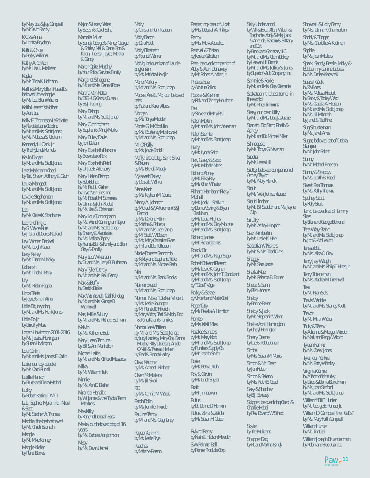*by Mary Lou & Jay Campbell by McDevitt Family*

*K.C. & Anna by Loretta Boydston*

*Kalli & Chloe by Becky Williams*

*Kathy A. Chilton by Ms. Lisa L. Mcallister*

*Kayla by Ms. Tricia K. Hofmann*

*Keith & Mary Ellen Hassett's beloved little doggie by Ms. Lou Ellen Williams*

*Keith Hassett's Mother by Aunt Lou*

*Kelly E. Thompson LaFollette by Fairdale Lions Club Inc. by Mr. and Mrs. Scott Jonap by Ms. Meleesa S. Oldham*

*Kennedy H. Clark Jr. by The Hylands Kennels*

*Kevin Dugan by Mr. and Mrs. Scott Jonap*

*Larz Markham-Abedi by Teri, Shawn, Anthony & Gavin*

*Laura Mangeot by Mr. and Mrs. Scott Jonap*

*Lavelle Stephenson by Mr. and Mrs. Scott Jonap*

*Leo by Ms. Claire K. Shadburne*

*Leonard Tingle by S. Wayne Nuss by J.G. and Dolores Radford*

*Levi Winder Bedwell by Ms. Leigh Reasor*

*Lexy Kelley by Ms. Diane M. Kelley*

*Lickerish by Ms. Linda L. Parry*

*Lily by Ms. Kristin Regala*

*Linda Teets*

*by Joyce & Tom Arms Little Bit, my dog*

*by Mr. and Mrs. Frank Jones Little Bo Jr.*

*by Dorothy Moss Logan Howington 2001-2016*

*by Ms. Jessica Howington by Susan Howington*

*Lola Carlin by Mr. and Mrs. James E. Carlin Lucie, our toy poodle*

*by Ms. Carol Rumrill Lucille Henson*

*by Bruce and Diana Mitchell*

*Lucky by Robert Kasting D.M.D. LuLi, Sophie, Myra, Indi, Nievl & Spot by Mr. Stephen A. Thomas*

*Maddie, the best cat ever! by Ms. Christi Baunach*

*Maggie by Mr. Mike Kenney*

*Maggie Kiefer by Randi Barnes*

 $\text{Paw}_{\text{Stret Journal}}$ 

*Major & Lacey Yates by Steven & Carol Scheff*

*Marcella Miller by Sandy, George & Nancy, George & Shirley, Neil & Diane, Ron & Karen, Theresa, Joyce, Martha & Candy*

*Maren Opitz Murphy by Your Policy Services Family Margaret Schagene*

*by Mr. and Mrs. Donald Pope Martha Van Natta*

*by DSB - US Census Bureau by B&J Trucking*

*Mary Bishop by Mr. and Mrs. Scott Jonap Mary Cunningham*

*by Stephen & Mindy Marks Mary Duley Davis*

*by Joni Dalton Mary Elizabeth Parsons by Brownsboro Park*

*Mary Elizabeth Reid*

*by Dr. Joe F. Arterberry Mary Helen Bishop by Bob Bishop*

*by Mr. Paul L. Gerber by Joyce Van Lines, Inc. by Mr. Robert M. Summers by Donna & John Knebel by Ms. Lisa S. Christman*

*Mary Lou Cunningham by Ms. Wendi Cunningham Taylor by Mr. and Mrs. Scott Jonap by Sheehy & Associates by Ms. Melissa Tapley by Francis Balf & Family and Ellen Gray & Family*

*Mary Lou Wilkerson by Dr. and Mrs. Jerry B. Buchanan*

*Mary Tyler Dendy by Mr. and Mrs. Paul Dendy*

*Max & Buffy by Derrick Drake*

*Max Wombwell, faithful dog by Mr. and Mrs. George B. Wombwell*

*Maz, Millie & Lucy by Mr. and Mrs. Richard Eschman*

*Melvin by Ms. Katherine Elder Meryl Jean Terhune*

*by Bill & Ann Monhollon Michael Lattis by Mr. and Mrs. Clifford Messaros Milka by Mr. William Haak Minnie by Ms. Ann D. Decker*

*Miranda Hendrix by Wil James & the Toyota Team Members Miss Kitty by Ken and Deborah Bass Missie, our beloved dog of 16 years by Ms. Barbara Ann Johnson*

*Missy by Ms. Dawn Urschel* *by Chris and Pam Pearson Molly Bacon by Dara Feldt Molly Elizabeth by Rhonda Wanner MoMo, beloved cat of Laurie Engleman by Ms. Maricita Heuglin Mona Mallory by Mr. and Mrs. Scott Jonap*

*Molly*

*Moose, Axe & Mo, our beloved pets by Rick and Karen Albers*

*Morgan by Ms. Tonya Madden*

*Morris G. McCrocklin by Ms. Courtenay Murakowski by Mr. and Mrs. Scott Jonap Mr. O'Reilly by Ms. Joyce Bonick*

*Muffy, Little Dog, Sam, Silver & Raven*

*by Ms. Brenda Moody My sweet Bailey*

*by Debra L. Wohner Nana Kent*

*by Ms. Kayleen M. Courier*

*Nancy A. Johnson by Michael & VA Foreman (S&J Electric) by Ms. Darlene Helm by Martha & Roberta by Mr. and Mrs. Leo Camp by Mr. Scott W. Dolson by Ms. Mary Catherine Evers by Phil and Dot Patterson*

*Nicole Foreste Sancomb by Kirkby and Stephanie Tittle by Mr. and Mrs. Michael Rash*

*Niki by Mr. and Mrs. Frank Brooks*

*Norma Breed by Mr. and Mrs. Scott Jonap*

*Norma "Nova" Decker Vincent by Ms. Leslie Covington by Mr. Ronald P. Hillerich by Mary Watts, Terri & Mitch, Bob & Pam, Karen & families*

*Norma Lee Whitten by Mr. and Mrs. Scott Jonap by Judy Hardesty, Mary Cox, Donna Murphy, Kitty Davidson, Angela O'Neill & Theresa Henken by Fred & Brenda Harley*

*Oliva Kirchner by Ms. Amber L. Kirchner*

*Owen McMasters by Ms. Jill Sivori P.D.*

*by Ms. Connie M. Woods Patch Edlin*

*by Ms. Jennifer Imorde Pauline Tandy by Mr. and Mrs. Greg Tandy*

*Payson Grimm by Ms. Leslie Frye Peaches by Melanie Pierson* *by Mrs. Deborah A. Phillips Penny by Mrs. Marva Goodlett Percival & Tristan by Jessica Goldstein Pete, beloved companion of Abby & Alan Dunaway by Mr. Robert A. Nolan Jr. Phoebe Sue by Arbutus Collins Pookie & Kashmir by Rick and Tammy Houchens Pre by Steve and Mary Paul Ralph Martin by Mr. and Mrs. John Ackerman Ralph Stemler by Mr. and Mrs. Scott Jonap Reilly by Ms. Lynda Seitz Rex, Casey & Sabo by Ms. Michelle Norris Richard Abney by Ms. Erika Ray by Ms. Cheri Wheeler Richard Harrison "Ricky" Mitchell by Ms. Jody L. Shaikun by Donna Vowing & Bryan Blackburn*

*Peeper, my beautiful cat*

*by Ms. Laura Hughes by Mr. and Mrs. Gary Mounce by Mr. and Mrs. Scott Jonap Richard James*

*by Mr. Richard James*

*Roady Girl by Mr. and Mrs. Roger Sego*

*Robert Edward Riesert by Ms. Leslie K. Gagnon by Mr. and Mrs. John T. Bondurant by Mr. and Mrs. Scott Jonap by "Gabe" Vogel*

*Rocky & Serae by Vincent and Maria Corsi*

*Roger Day by Ms. Revella A. Hamilton*

*Romeo by Mrs. Kristi Miles Rosalee Sanders*

*by Ms. Missy Nido by Mr. and Mrs. Scott Jonap by Plumbers Supply Co. by Mr. Joseph Smith*

*Rosie by Ms. Betty Unruh Roy & Calvin*

*by Ms. Linda Snyder Rratt by Mr. Jim Corwin*

*Rufus by Dr. Donne D. Harmon Rufus, Zena & Zelda by Ms. Susan H. Glazer*

*Rylynd Remy by Nash & Hudson Meredith S.W. Palmer-Ball by Palmer Products Corp*

*Sally Underwood by Will & Erica, Allen, Wilson & Stephanie, Andy & Mia, Jack & Amanda, Erasmo & Brittany and Curt by Brookland Cemetary LLC by Mr. and Mrs. Glenn Dickey by Heaven Hill Brands by Mr. and Mrs. Jeffrey S. Jones by Superior Vault Company, Inc. Sammie & Foxie by Mr. and Mrs. Gary Clements Saskatoon, the best terrier in the world by Ms. Rhea Timmons Sassy, our dear kitty by Mr. and Mrs. Douglas Grace Scarlett, Big Sam, Rhett & Ashley by Mr. and Dr. Michael Miller Schnoopsie by Ms. Tonya G. Newman Scooter by Ms. Leesa Hill Scotty, beloved companion of Ashley Taylor by Ms. Mary Hornek Scout by Ms. Vicki Johnson-Leuze Scout Lindner by Mr. Bill Sudduth and Ms. Jayne Culp Scruffy by Ms. Ashley Humpich Sean Kimberlin by Ms. Leslie K. Hale Sebastian Whiskers by Mr. & Mrs. Todd Curtis Shaggy by Ms. Sara Larde Sharla Mae by Ms. Rebecca B. Bruner Sheba & Sam by Ellis Hannahs Shelby by Bonnie Baker Shelby & Jack by Ms. Stephanie Walker Shellie April Harrington by Cheryl Harrington Sherry Deane by Lee & Pat Coleman Simba by Mrs. Susan M. Morris Simon & Mr. Bean by Jen Nelson Simon & Salem by Mrs. Faith E. Good Sissy & Shadow by B.J. Sweazy Skipper, beloved dog Carol & Charlie Hebel*

*Skyler by The Mulligans Snapper Dog*

*by Rev. Edward W. Schadt*

*by RL and Martha Bandy*

*Snowball & Holly Berry by Mrs. Donna R. Chamberlain Soddy & Tugger by Mrs. Charlotte A. Kaufman Sophie by Ms. Joan Masters Spark, Sandy, Bessie, Micky & Bubba, my canine babies by Ms. Denise Kleczynski Suezell Cook by Za Flores by Ms. Melissa Niedert by Becky & Tooley Ward by Ms. Claudia A. Houston by Mr. and Mrs. Scott Jonap by Ms. Jill McIntosh*

*Sug Schusterman by Ms. Janet Ames Sugar, beloved cat of Debra Stamper by Mr. John Selent Sunny by Mr. Michael Freeman Sunny & Shadow by Ms. Judith B. Reed Sweet Pea Thomas*

*by Janet & Ted Fine*

*by Ms. Kathy Thomas*

*Sydney Stout by Kelly Stout*

*Tank, beloved cat of Tammy Siers*

*by Ellen and George Behrend*

*Tera Wray Static by Mr. and Mrs. Scott Jonap*

*by Jon & Abbi Wurth Teresa Butt*

*by Mrs. Alisa O. Gray*

*Terry Jay Waugh by Mr. and Mrs. Philip T. Hines Jr.*

*Terry Thieneman by Mrs. Andrea M. Greenwell*

*Tess by Mr. Ryan Sells*

*by Mr. Martin Weber Truly & Teeny*

*Travis Waddle by Mr. and Mrs. Stanley Knott Trevor*

*by Adrienne & Meagan Woidich by Mark and Peggy Woidich Tyleen Farmer by Ms. Cheryl Jones Tyler, our Yorkie by Ms. Betty Whiteley Virginia Currie by A Taste of Kentucky by Dave & Donna Barrickman by Ms. Joan Sanford by Mr. and Mrs. Scott Jonap William "Bill" Hunter by Mr. George E. Ramser Jr. William D. Campbell the "Cat's" by Ms. Mary Faith Campbell William Hunter by Mr. Tim Cecil*

*William Joseph Bruenderman by Robin and Brock Gamez*

**Paw** 11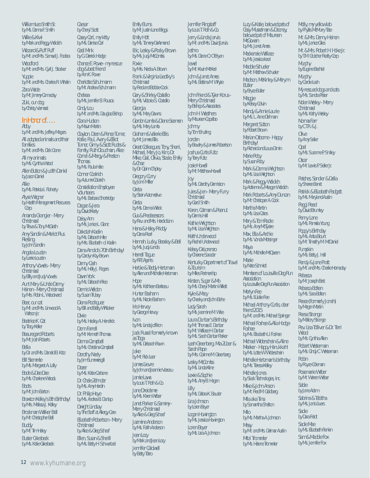*William Leo Smith Sr. by Ms. Donna F. Smith*

*Willie & Kiwi by Mark and Peggy Woidich Wizzard & Ruff Ruff by Mr. and Mrs. Samuel J. Fodera*

*Woodford by Mr. and Mrs. Cyril J. Stocker Yuppie by Mr. and Mrs. Charles R. Whalin*

*Zara Wade by Mr. Jimmy Cannaday*

*Zuki, our dog by Christy Vermost*

### *In Honor of….*

*Abby by Mr. and Mrs. Jeffrey Magers All adopted animals and their families by Mr. and Mrs. Dick Crane*

*All my animals by Ms. Cynthia Wood*

*Allen Button & Judith Daniel by Jason Daniel*

*Allie by Ms. Patricia I. Flaherty*

*Alyse Wagner by Health Management Resources Corp.*

*Amanda Grangier - Merry Christmas!*

*by Treva & Tony McGrath Amy Sandlin & Merlot Plus* 

*Riesling by John Sandlin*

*Angela Louden*

*by Larrie Louden Anthony Vowels - Merry* 

*Christmas! by Billy and Judy Vowels*

*Aunt Mary & Uncle Denny Heinen - Merry Christmas! by Mrs. Robin L. Woodward*

*Bear, our cat by Mr. and Mrs. Linwood A. Watson Jr.*

*Beatrice K. Cat by Tracy Keller*

*Beauregard Roberts*

*by Mr. Josh Roberts Bella by Dr. and Mrs. Donald B. Katz*

*Bill Stemmle*

*by Ms. Margaret A. Lally Bode & Dee Dee*

*by Ms. Charlene Woods*

*Boots by Mr. John Barton*

*Braxton Kelley's 8th Birthday!*

*by Mrs. Melissa J. Kelley Brockman Walker Bell*

*by Mr. Christopher Bell Buddy by Mr. Tim Haley*

*Buster Griesbeck by Ms. Katie Griesbeck* *Caesar by Cheryl Scott Casey Carl, my kitty by Ms. Denise Carl Cecil Mink by G. Derrick Hodge Chance E. Rowe - my rescue dog & best friend by Ann K. Rowe Charlotte Schuhmann by Mr. Andrew Schuhmann Chelsea by Ms. Jennifer B. Rousos Cindy Lou by Mr. and Mrs. Douglas Bishop Clara Hudson by Mavin Martin Clayton, Dean & Pence Turner, Katie, Paul, Avery & Elliot Turner, Ginny & Scott Rudes & Family, Ruth Cloudman, Alice Cornel & Margy & Preston Thomas by Ms. Paula Hale Conner Coalrich by Autumn Colarich Constellation Employee Volunteers by Ms. Barbara Shortridge Dagaz & Jera by David Keely Daisy Ann by Ms. Janice L. Glanz Dakotah Kaelin by Ms. Deborah Hite by Mrs. Elizabeth d. Kaelin Dana Arnold's 70th Birthday! by Carolyn Kay Brown Danny Cash by Ms. Holly J. Rogers Dawn York by Ms. Deborah Price Dennis Weldon by Susan Trubey Diana Rodriguez by Bill and Betty Whitaker Dixie by Ms. Hadley A. Hendrick Donn Farrell by Mr. Kenneth Thomas Donna Campbell by Ms. Christina Campbell Dorothy Neely by Jim Summersgill Dozer by Ms. Katie Carbone Dr. Chele Zehnder by Ms. Amy Hardin Dr. Philip Heye by Ms. Andrea B. Dunlap Dwight Lindsay by The Staff at Allergy Care Elizabeth Robertson - Merry Christmas! by Alice & Greg Schaaf Ellen, Susan & Sherill by Ms. Betty H. Schwartzel*

*Emily Burns by Mr. Justin Lane Briggs Emily Holt by Ms. Tammy DeArmond Eric, Lesley & Rocky Brown by Ms. Judy McCombs Foxie by Mrs. Nedra A. Brown Frank & Virginia Liedtky's Christmas! by Fred and Bobbie Cook Gary & Shirley Costello by Ms. Victoria S. Costello Georgia by Ms. Mary Downs Gordon Lamb & Diane Seamon by Ms. Mary Lamb Graham & Valerie Ellis by Mr. James Ellis Great Colleagues; Tony, Sherri, Michael, Mary Jo, Kim, Dr. Mike, Gail, Olivia, Stacie, Emily & Chaz by Dr. Quinn Chipley Gregory Curry by Jonni Miller Greta by Stein Automotive Greta by Ms. Donna Wirick Gus & Predecessors by Rev. and Mrs. Harold Linn Hana & Haley Priddy by Dana Pearl Hannah, Lucky, Beasley & Bell by Ms. Judy Landis Harrell Tague by RPE Agents Herbie & Teddy Hertzman by Allen and Michelle Hertzman Hope by Ms. Kathleen Bariteau Hunter Basham by Ms. Nicole Basham Iris Harvey by George Harvey Ivon by Ms. Linda Joffrion Jack Russel formerly known as Toga by Ms. Deborah Rawn Jake by Mr. Rick Lear James Lievre by John and Jeannie Vezeau Jamie Laws by Louis T. Roth & Co. Jane Dreidame by Ms. Karen Weber Janet Parker & Sammy - Merry Christmas! by Alice & Greg Schaaf Jazmine Anderson by Ms. Faith Anderson Jean Locy by Mark and Jean Locy Jennifer Caldwell by Betty Tatro*

*Jennifer Ringstaff by Louis T. Roth & Co.*

*Lucy & Katie, beloved pets of Cissy Musselman & Dooney, beloved pet of Maureen* 

*McGowan by Ms. Janet Ames Mackenzie Wallace by Ms. Jessica Iezzi Maddie Schueler by Mr. Matthew Schueler Madison, McKinley & Merynn* 

*Butler by Bryce Butler Maggie by Kelsey Colvin Mandy & Annie Laurie by Ms. L. Anne Dishman Margaret Sutton by Robert Brown Marian Osborne - Happy* 

*Birthday!*

*Marie Roby by Susan Roby*

*Maya*

*Mazie by Nate Schmidt*

*Association*

*Merlyn Fee by Ms. Eulalie Fee*

*friend 2015*

*Foshee*

*by Ms. Michelle McQueen*

*Members of Louisville Dog Run* 

*by Louisville Dog Run Association*

*Michael Anthony Curtis, dear* 

*by Mr. and Mrs. Michael Springer Michael Foshee & Alia Hodge-*

*by Ms. Elisabeth U. Foshee Michael Widerschein & Aline Meeker - Happy Hanukkah! by Ms. Lotte W. Widerschein Michelle Hertzman's birthday by Ms. Teresa Kelley Michelle Jones*

*by Richard and Laura Dimin*

*Mark & Donna Wrightson by Ms. Lisa Wrightson Mark & Peggy Woidich by Adrienne & Meagan Woidich Mark Roberts & Amy Duncan by Mr. Christoper A. Cook Martha Martin by Ms. Lisa Cates Mary & Tom Radle by Ms. Amy McTyeire Max, Ella & Archie by Ms. Vonda Motsinger*

*Jerry & Linda Jarvis by Mr. and Mrs. David Jarvis Jethro by Ms. Diane O. O'Bryan Jewel by Mr. Kevin McKeel John & Janet Ames by Ms. Bettina M. Whyte*

*John Friend & Tyler Korus - Merry Christmas!*

*by Bishop & Associates John H. Weathers*

*by Maureen Capalbo Johnny by Tom Shurling Jordan*

*by Bevelry & James Robertson Joshua Curtis Fultz*

*by Terry Fultz Josie Howell by Mr. Matthew Howell*

*Joy by Ms. Dorothy Denniston Jules & Jen - Merry Furry* 

*Christmas! by Gordi Smith Karen, Catman & Peanut by Dennis Hall*

*Kathie Wrightson by Ms. Lisa Wrightson*

*Keith Underwood by Rachel Underwood Kelsey DeLorenzo*

*by Cherene Saradar*

*Kentucky Department of Travel & Tourism by Miles Partnership Kirsten, Sugar & Mo*

*by Ms. Cheryl Martin Willett Kyle & Macy*

*by Cheeky and John Bahe Lady Sarah*

*by Ms. Jeannine M. Wise Laura Dunbar's Birthday by Mr. Thomas E. Dunbar by Mr. Wallace H. Dunbar by Ms. Sarah Dunbar Parker*

*Leah Greenberg, Mia Zuber & Sarah Pape by Mrs. Corinne M. Greenberg*

*Lesley McCombs by Ms. Linda Kline*

*Lexie & Sophie by Ms. Amy B. Hogan*

*Lilly by Ms. Debra K. Bauder*

*Lira Johnson by Loren Beyer*

*Logan Howington by Ms. Jessica Howington Loren Beyer by Ms. Lira A. Johnson*

*by Slack Technologies, Inc. Mike & John Anson by Mr. Fred M. Goldberg Mila aka Tina by Samantha Shelton Milo by Ms. Martha A. Johnson Missy by Mr. and Mrs. Delmar Austin Mitzi Trommler by Ms. Helene Trommler*

*Molly, my yellow lab by Phyllis McMurry Tate Mr. & Mrs. Denny Heinen by Ms. Janice Giles Mr. & Mrs. Robert H. Hoke Jr. by T.M. Crutcher Realty Corp Murphy by Eugene Bechtel Murphy by Carole Lash My rescued dogs and cats by Ms. Sandra Pister Nolan Wesley - Merry Christmas! by Ms. Kathy Wesley Norma Farr by C.T.R. & J. Olive by Amy Seiler Opal by Ms. Suzanne P. Smiley*

*Oscar by Mr. Lewis P. Seiler Jr.*

*Patches, Sandler & Della by Sheree Banet*

*Patrick & Elizabeth Padgett by Ms. Maryland Austin*

*Peggi Reed by David Brumley*

*Penny Lane by Ms. Pamela Young*

*Poppy's Birthday by Ms. Anita Blount by Mr. Timothy M. McDaniel*

*Pumpkin by Ms. Betty J. Hall*

*Randy & Jane Pratt by Mr. and Mrs. Charlie Hornaday*

*Rebecca by Mr. Joseph Best*

*Rebecca Bolten by Ms. Sara Bolten*

*Reece (formerly Jonah) by Megan Martin*

*Reesa Strange by Mallory Strange*

*Rev. Lisa Tolliver & Dr. Terri Wood*

*by Ms. Cynthia Allen Robert Westerman*

*by Ms. Cindy C. Westerman Robin*

*by Royce Coleman Rosemarie Weber*

*by Mr. Warren Weber Sable*

*by Jane Adam*

*Sabrina & Tabitha by Ms. Janis Livers*

*Sadie*

*by Dara Feldt*

*Sadie Mae*

*by Ms. Elizabeth Rankin*

*Sam & Maddie Fox by Ms. Jennifer Fox*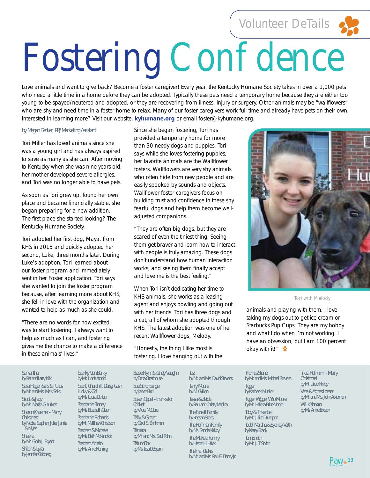Volunteer DeTails



# Fostering Con dence

Love animals and want to give back? Become a foster caregiver! Every year, the Kentucky Humane Society takes in over a 1,000 pets who need a little time in a home before they can be adopted. Typically these pets need a temporary home because they are either too young to be spayed/neutered and adopted, or they are recovering from illness, injury or surgery. Other animals may be "wallflowers" who are shy and need time in a foster home to relax. Many of our foster caregivers work full time and already have pets on their own. Interested in learning more? Visit our website, kyhumane.org or email foster@kyhumane.org.

#### *by Megan Decker, PR/Marketing Assistant*

Tori Miller has loved animals since she was a young girl and has always aspired to save as many as she can. After moving to Kentucky when she was nine years old, her mother developed severe allergies, and Tori was no longer able to have pets.

As soon as Tori grew up, found her own place and became financially stable, she began preparing for a new addition. The first place she started looking? The Kentucky Humane Society.

Tori adopted her first dog, Maya, from KHS in 2015 and quickly adopted her second, Luke, three months later. During Luke's adoption, Tori learned about our foster program and immediately sent in her Foster application. Tori says she wanted to join the foster program because, after learning more about KHS, she fell in love with the organization and wanted to help as much as she could.

"There are no words for how excited I was to start fostering. I always want to help as much as I can, and fostering gives me the chance to make a difference in these animals' lives."

Since she began fostering, Tori has provided a temporary home for more than 30 needy dogs and puppies. Tori says while she loves fostering puppies, her favorite animals are the Wallflower fosters. Wallflowers are very shy animals who often hide from new people and are easily spooked by sounds and objects. Wallflower foster caregivers focus on building trust and confidence in these shy, fearful dogs and help them become welladjusted companions.

"They are often big dogs, but they are scared of even the tiniest thing. Seeing them get braver and learn how to interact with people is truly amazing. These dogs don't understand how human interaction works, and seeing them finally accept and love me is the best feeling."

When Tori isn't dedicating her time to KHS animals, she works as a leasing agent and enjoys bowling and going out with her friends. Tori has three dogs and a cat, all of whom she adopted through KHS. The latest adoption was one of her recent Wallflower dogs, Melody.

"Honestly, the thing I like most is fostering. I love hanging out with the



*Tori with Melody*

animals and playing with them. I love taking my dogs out to get ice cream or Starbucks Pup Cups. They are my hobby and what I do when I'm not working. I have an obsession, but I am 100 percent okay with it!"

#### *Samantha*

*by Pat and Larry Kirk Sara Hagan Sells & Rufus by Mr. and Mrs. Mark Sells Scout & Jacy by Ms. Marcia G. Luckett Sharon Kraemer - Merry Christmas! by Nicole, Stephen, Julie, Jamie & Myles Sheena by Ms. Gloria J. Bryant Shiloh & Lyra by Jennifer Goldberg*

*Sparky Van Barky by Ms. Linda Arnold Sport, Churchill, Daisy, Cash, Lucky & Cici by Ms. Laura Dunbar Stephanie Finney by Ms. Elizabeth Olson Stephanie Richards by Mr. Matthew Christison Stephen & Michele by Ms. Beth McKendrick Stephen Amato by Ms. Anne Fleming*

*Steve Flynn & Cindy Vaughn by Dana Greathouse Sue Schonberger by Janice Bird Susan Oppel - thanks for Cricket by Viloet McClure Tally & Ginger by Carol S. Brinkman Tamara by Mr. and Mrs. Saul Pohn Tatum Fox by Ms. Lisa DeSpain*

*Taz by Mr. and Mrs. David Stevens Terry Moore by M. Gullion Tessa & Zelda by Paul and Christy Medina The Farrell Family by Keegan Storrs The Hoffman Family by Ms. Sandra Kirkby The Makela Family by Hester H. Haick Thelma Tolakis by Mr. and Mrs. Paul E. Disney Jr.*

*Thomas Stone by Mr. and Mrs. Michael Stevens Tigger by Kathleen Mueller Tigger Wigger Woo Moore by Ms. Helena Brice-Moore Toby & Tinkerbell by Ms. Juliet Davenport Todd, Marsha & Sydney Veith by Kasey Brady Tom Smith by Mr. J. T. Smith*

*Tricia Hofmann - Merry Christmas! by Mr. David Kirkby Vera & Agnes Loeser by Mr. and Mrs. John Ackerman Will Kishman by Ms. Annie Ericson*